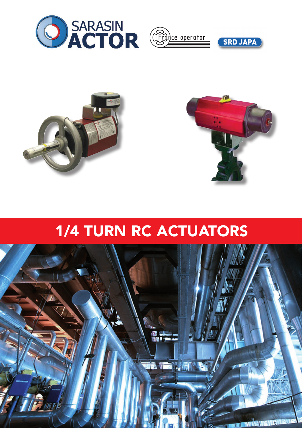







## 1/4 TURN RC ACTUATORS